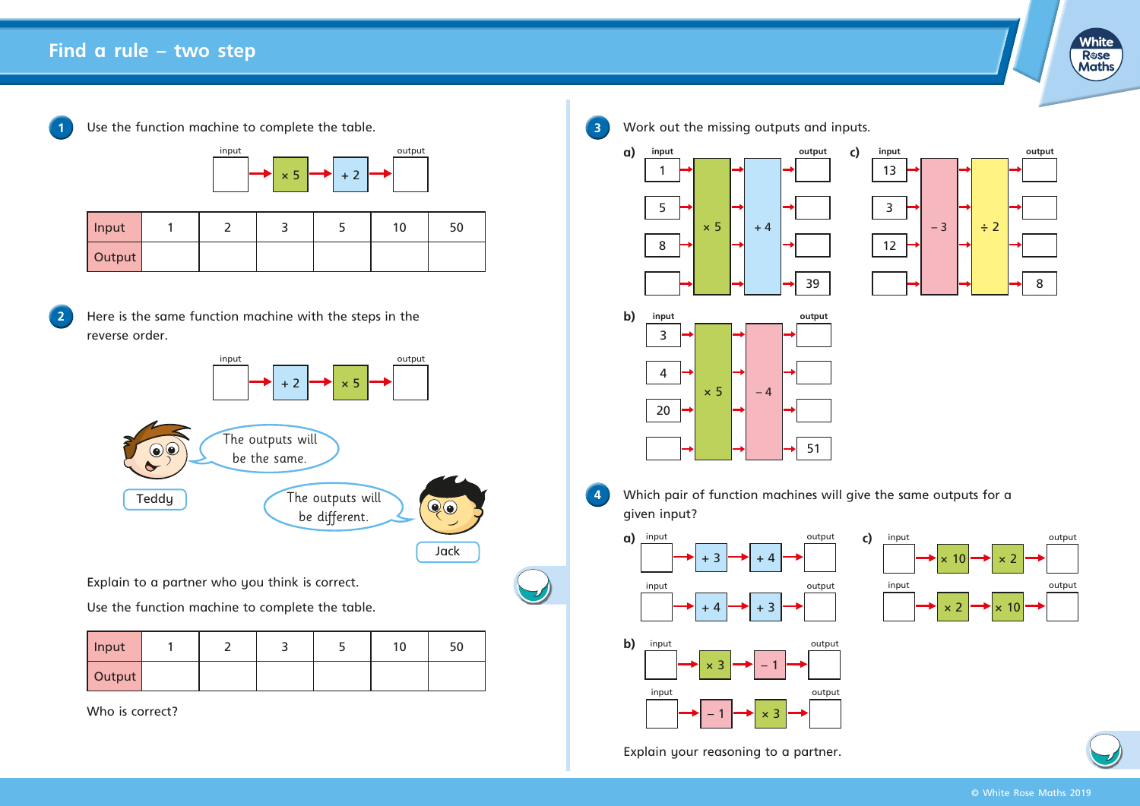

Use the function machine to complete the table.



| Input  |  |  | 10 | 50 |
|--------|--|--|----|----|
| Output |  |  |    |    |

**2** Here is the same function machine with the steps in the reverse order.



Explain to a partner who you think is correct.

Use the function machine to complete the table.

| Input  |  |  | 10 |  |
|--------|--|--|----|--|
| Output |  |  |    |  |

Who is correct?









**4** Which pair of function machines will give the same outputs for a given input?



 $\times$  10  $\rightarrow$   $\times$  2 input output output  $\times$  2  $\rightarrow$   $\times$  10 input output output